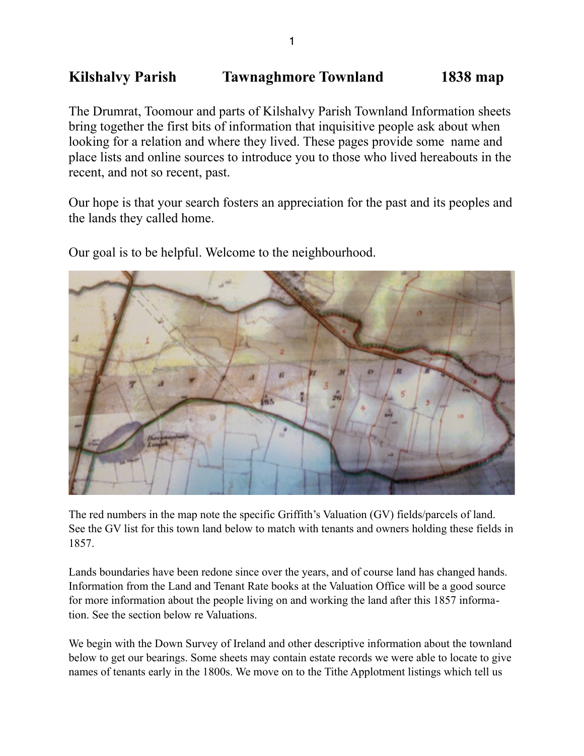# **Kilshalvy Parish Tawnaghmore Townland 1838 map**

The Drumrat, Toomour and parts of Kilshalvy Parish Townland Information sheets bring together the first bits of information that inquisitive people ask about when looking for a relation and where they lived. These pages provide some name and place lists and online sources to introduce you to those who lived hereabouts in the recent, and not so recent, past.

Our hope is that your search fosters an appreciation for the past and its peoples and the lands they called home.

Our goal is to be helpful. Welcome to the neighbourhood.

The red numbers in the map note the specific Griffith's Valuation (GV) fields/parcels of land. See the GV list for this town land below to match with tenants and owners holding these fields in 1857.

Lands boundaries have been redone since over the years, and of course land has changed hands. Information from the Land and Tenant Rate books at the Valuation Office will be a good source for more information about the people living on and working the land after this 1857 information. See the section below re Valuations.

We begin with the Down Survey of Ireland and other descriptive information about the townland below to get our bearings. Some sheets may contain estate records we were able to locate to give names of tenants early in the 1800s. We move on to the Tithe Applotment listings which tell us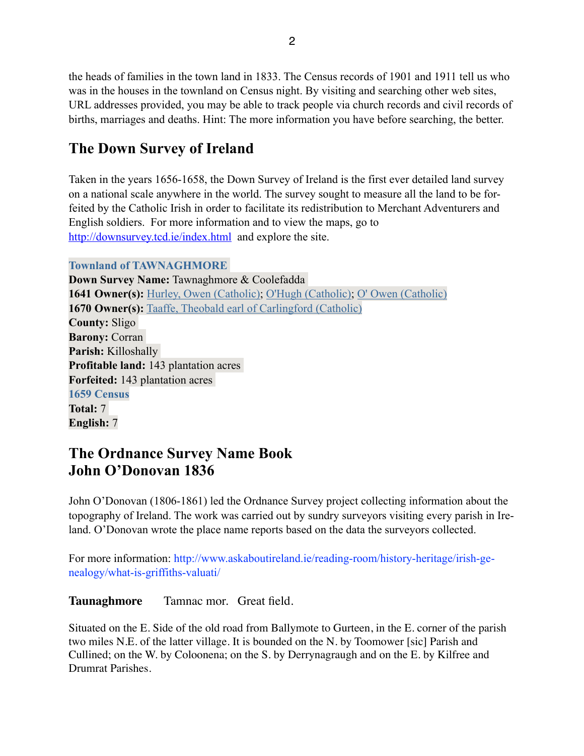the heads of families in the town land in 1833. The Census records of 1901 and 1911 tell us who was in the houses in the townland on Census night. By visiting and searching other web sites, URL addresses provided, you may be able to track people via church records and civil records of births, marriages and deaths. Hint: The more information you have before searching, the better.

# **The Down Survey of Ireland**

Taken in the years 1656-1658, the Down Survey of Ireland is the first ever detailed land survey on a national scale anywhere in the world. The survey sought to measure all the land to be forfeited by the Catholic Irish in order to facilitate its redistribution to Merchant Adventurers and English soldiers. For more information and to view the maps, go to <http://downsurvey.tcd.ie/index.html>and explore the site.

## **Townland of TAWNAGHMORE**

**Down Survey Name:** Tawnaghmore & Coolefadda **1641 Owner(s):** [Hurley, Owen \(Catholic\);](http://downsurvey.tcd.ie/landowners.php#l1=Hurley,%20Owen) [O'Hugh \(Catholic\)](http://downsurvey.tcd.ie/landowners.php#l1=O); O'Owen (Catholic) **1670 Owner(s):** [Taaffe, Theobald earl of Carlingford \(Catholic\)](http://downsurvey.tcd.ie/landowners.php#l4=Taaffe,%20Theobald%20earl%20of%20Carlingford) **County:** Sligo **Barony:** Corran **Parish:** Killoshally **Profitable land:** 143 plantation acres **Forfeited:** 143 plantation acres **1659 Census Total:** 7 **English:** 7

# **The Ordnance Survey Name Book John O'Donovan 1836**

John O'Donovan (1806-1861) led the Ordnance Survey project collecting information about the topography of Ireland. The work was carried out by sundry surveyors visiting every parish in Ireland. O'Donovan wrote the place name reports based on the data the surveyors collected.

For more information: http://www.askaboutireland.ie/reading-room/history-heritage/irish-genealogy/what-is-griffiths-valuati/

**Taunaghmore** Tamnac mor. Great field.

Situated on the E. Side of the old road from Ballymote to Gurteen, in the E. corner of the parish two miles N.E. of the latter village. It is bounded on the N. by Toomower [sic] Parish and Cullined; on the W. by Coloonena; on the S. by Derrynagraugh and on the E. by Kilfree and Drumrat Parishes.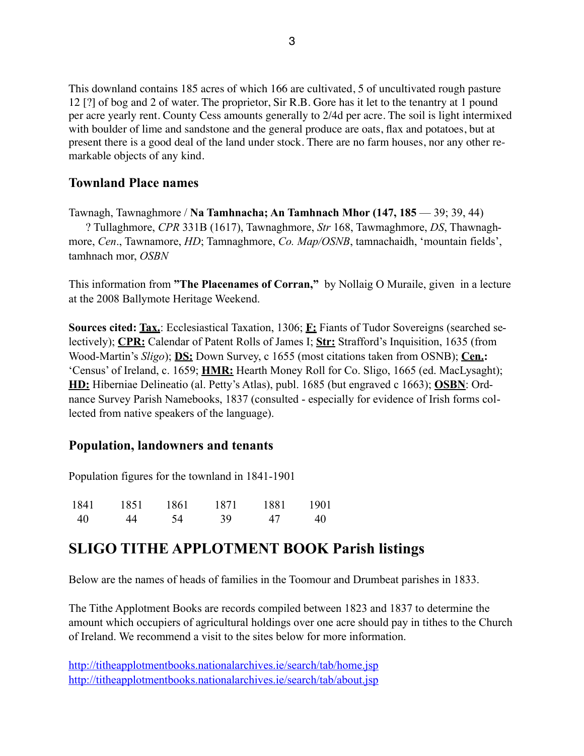This downland contains 185 acres of which 166 are cultivated, 5 of uncultivated rough pasture 12 [?] of bog and 2 of water. The proprietor, Sir R.B. Gore has it let to the tenantry at 1 pound per acre yearly rent. County Cess amounts generally to 2/4d per acre. The soil is light intermixed with boulder of lime and sandstone and the general produce are oats, flax and potatoes, but at present there is a good deal of the land under stock. There are no farm houses, nor any other remarkable objects of any kind.

# **Townland Place names**

Tawnagh, Tawnaghmore / **Na Tamhnacha; An Tamhnach Mhor (147, 185** — 39; 39, 44) ? Tullaghmore, *CPR* 331B (1617), Tawnaghmore, *Str* 168, Tawmaghmore, *DS*, Thawnaghmore, *Cen*., Tawnamore, *HD*; Tamnaghmore, *Co. Map/OSNB*, tamnachaidh, 'mountain fields', tamhnach mor, *OSBN* 

This information from **"The Placenames of Corran,"** by Nollaig O Muraile, given in a lecture at the 2008 Ballymote Heritage Weekend.

**Sources cited: Tax.**: Ecclesiastical Taxation, 1306; **F:** Fiants of Tudor Sovereigns (searched selectively); **CPR:** Calendar of Patent Rolls of James I; **Str:** Strafford's Inquisition, 1635 (from Wood-Martin's *Sligo*); **DS:** Down Survey, c 1655 (most citations taken from OSNB); **Cen.:** 'Census' of Ireland, c. 1659; **HMR:** Hearth Money Roll for Co. Sligo, 1665 (ed. MacLysaght); **HD:** Hiberniae Delineatio (al. Petty's Atlas), publ. 1685 (but engraved c 1663); **OSBN**: Ordnance Survey Parish Namebooks, 1837 (consulted - especially for evidence of Irish forms collected from native speakers of the language).

## **Population, landowners and tenants**

Population figures for the townland in 1841-1901

| 1841 | 1851 | 1861 | 1871 | 1881 | 1901 |
|------|------|------|------|------|------|
| -40  | 44   | -54  | 39   | 47   | 40   |

# **SLIGO TITHE APPLOTMENT BOOK Parish listings**

Below are the names of heads of families in the Toomour and Drumbeat parishes in 1833.

The Tithe Applotment Books are records compiled between 1823 and 1837 to determine the amount which occupiers of agricultural holdings over one acre should pay in tithes to the Church of Ireland. We recommend a visit to the sites below for more information.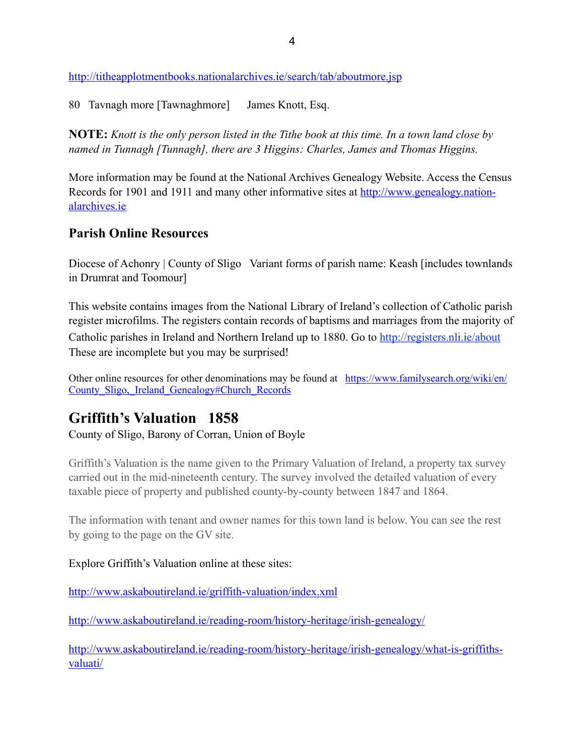<http://titheapplotmentbooks.nationalarchives.ie/search/tab/aboutmore.jsp>

80 Tavnagh more [Tawnaghmore] James Knott, Esq.

**NOTE:** *Knott is the only person listed in the Tithe book at this time. In a town land close by named in Tunnagh [Tunnagh], there are 3 Higgins: Charles, James and Thomas Higgins.* 

More information may be found at the National Archives Genealogy Website. Access the Census [Records for 1901 and 1911 and many other informative sites at http://www.genealogy.nation](http://www.genealogy.nationalarchives.ie)alarchives.ie

## **Parish Online Resources**

Diocese of Achonry | County of Sligo Variant forms of parish name: Keash [includes townlands] in Drumrat and Toomour]

This website contains images from the National Library of Ireland's collection of Catholic parish register microfilms. The registers contain records of baptisms and marriages from the majority of Catholic parishes in Ireland and Northern Ireland up to 1880. Go to<http://registers.nli.ie/about> These are incomplete but you may be surprised!

[Other online resources for other denominations may be found at https://www.familysearch.org/wiki/en/](https://www.familysearch.org/wiki/en/County_Sligo,_Ireland_Genealogy#Church_Records) County\_Sligo,\_Ireland\_Genealogy#Church\_Records

# **Griffith's Valuation 1858**

County of Sligo, Barony of Corran, Union of Boyle

Griffith's Valuation is the name given to the Primary Valuation of Ireland, a property tax survey carried out in the mid-nineteenth century. The survey involved the detailed valuation of every taxable piece of property and published county-by-county between 1847 and 1864.

The information with tenant and owner names for this town land is below. You can see the rest by going to the page on the GV site.

#### Explore Griffith's Valuation online at these sites:

<http://www.askaboutireland.ie/griffith-valuation/index.xml>

<http://www.askaboutireland.ie/reading-room/history-heritage/irish-genealogy/>

[http://www.askaboutireland.ie/reading-room/history-heritage/irish-genealogy/what-is-griffiths](http://www.askaboutireland.ie/reading-room/history-heritage/irish-genealogy/what-is-griffiths-valuati/)valuati/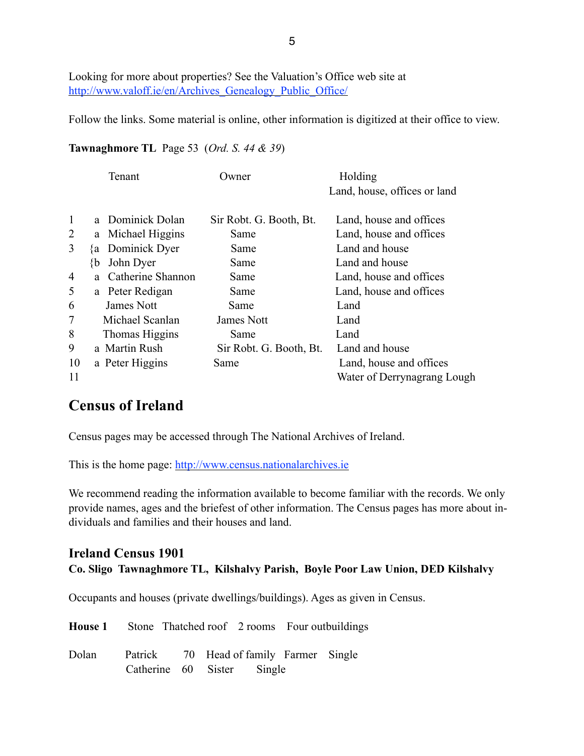Looking for more about properties? See the Valuation's Office web site at http://www.valoff.ie/en/Archives Genealogy Public Office/

Follow the links. Some material is online, other information is digitized at their office to view.

### **Tawnaghmore TL** Page 53 (*Ord. S. 44 & 39*)

|                |    | Tenant            | Owner)                  | Holding<br>Land, house, offices or land |
|----------------|----|-------------------|-------------------------|-----------------------------------------|
| 1              |    | a Dominick Dolan  | Sir Robt. G. Booth, Bt. | Land, house and offices                 |
| $\overline{2}$ |    | a Michael Higgins | Same                    | Land, house and offices                 |
| 3              |    | {a Dominick Dyer  | Same                    | Land and house                          |
|                | {b | John Dyer         | Same                    | Land and house                          |
| 4              | a. | Catherine Shannon | Same                    | Land, house and offices                 |
| 5              |    | a Peter Redigan   | Same                    | Land, house and offices                 |
| 6              |    | James Nott        | Same                    | Land                                    |
| 7              |    | Michael Scanlan   | James Nott              | Land                                    |
| 8              |    | Thomas Higgins    | Same                    | Land                                    |
| 9              |    | a Martin Rush     | Sir Robt. G. Booth, Bt. | Land and house                          |
| 10             |    | a Peter Higgins   | Same                    | Land, house and offices                 |
| 11             |    |                   |                         | Water of Derrynagrang Lough             |

# **Census of Ireland**

Census pages may be accessed through The National Archives of Ireland.

This is the home page: <http://www.census.nationalarchives.ie>

We recommend reading the information available to become familiar with the records. We only provide names, ages and the briefest of other information. The Census pages has more about individuals and families and their houses and land.

## **Ireland Census 1901 Co. Sligo Tawnaghmore TL, Kilshalvy Parish, Boyle Poor Law Union, DED Kilshalvy**

Occupants and houses (private dwellings/buildings). Ages as given in Census.

|       | <b>House 1</b> Stone Thatched roof 2 rooms Four outbuildings          |  |  |  |
|-------|-----------------------------------------------------------------------|--|--|--|
| Dolan | Patrick 70 Head of family Farmer Single<br>Catherine 60 Sister Single |  |  |  |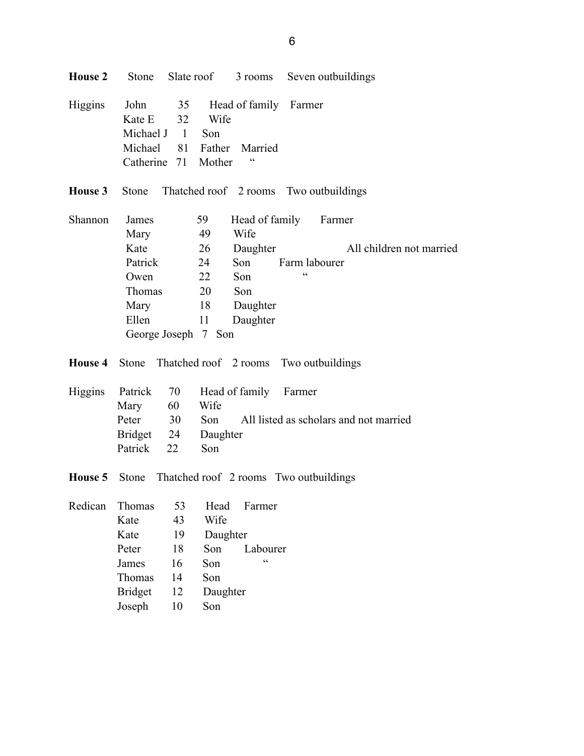| <b>House 2</b> |                                                                                |                                                      |                                                                  |                                                                                 |                             | Stone Slate roof 3 rooms Seven outbuildings |
|----------------|--------------------------------------------------------------------------------|------------------------------------------------------|------------------------------------------------------------------|---------------------------------------------------------------------------------|-----------------------------|---------------------------------------------|
| Higgins        | John<br>Kate E<br>Michael J 1                                                  | 35<br>32<br>Michael 81 Father<br>Catherine 71 Mother | Wife<br>Son                                                      | Head of family<br>Married<br>$\zeta$ $\zeta$                                    | Farmer                      |                                             |
| House 3        | Stone                                                                          |                                                      |                                                                  |                                                                                 |                             | Thatched roof 2 rooms Two outbuildings      |
| Shannon        | James<br>Mary<br>Kate<br>Patrick<br>Owen<br>Thomas<br>Mary<br>Ellen            | George Joseph 7 Son                                  | 59<br>49<br>26<br>24<br>22<br>20<br>18<br>11                     | Head of family<br>Wife<br>Daughter<br>Son<br>Son<br>Son<br>Daughter<br>Daughter | Farm labourer<br>$\epsilon$ | Farmer<br>All children not married          |
| House 4        | Stone                                                                          |                                                      |                                                                  | Thatched roof 2 rooms                                                           |                             | Two outbuildings                            |
| Higgins        | Patrick<br>Mary<br>Peter<br>Bridget 24<br>Patrick                              | 70<br>60<br>30<br>22                                 | Wife<br>Son<br>Daughter<br>Son                                   | Head of family Farmer                                                           |                             | All listed as scholars and not married      |
| House 5        | Stone                                                                          |                                                      |                                                                  | Thatched roof 2 rooms Two outbuildings                                          |                             |                                             |
| Redican        | Thomas<br>Kate<br>Kate<br>Peter<br>James<br>Thomas<br><b>Bridget</b><br>Joseph | 53<br>43<br>19<br>18<br>16<br>14<br>12<br>10         | Head<br>Wife<br>Daughter<br>Son<br>Son<br>Son<br>Daughter<br>Son | Farmer<br>Labourer<br>$\zeta$ $\zeta$                                           |                             |                                             |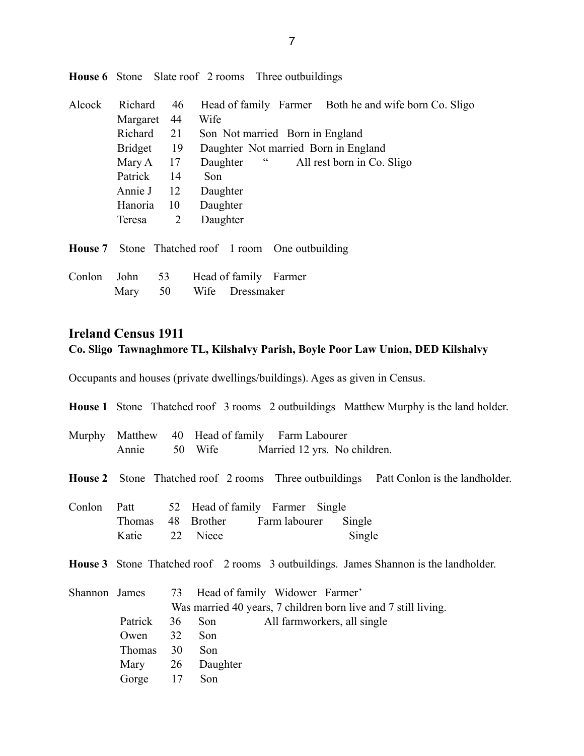| Alcock  | Richard        | 46             | Head of family Farmer Both he and wife born Co. Sligo |
|---------|----------------|----------------|-------------------------------------------------------|
|         | Margaret       | 44             | Wife                                                  |
|         | Richard        | 21             | Son Not married Born in England                       |
|         | <b>Bridget</b> | 19             | Daughter Not married Born in England                  |
|         | Mary A         | 17             | $\epsilon$<br>Daughter<br>All rest born in Co. Sligo  |
|         | Patrick        | 14             | Son.                                                  |
|         | Annie J        | 12             | Daughter                                              |
|         | Hanoria        | 10             | Daughter                                              |
|         | Teresa         | $\overline{2}$ | Daughter                                              |
|         |                |                |                                                       |
| House 7 |                |                | Stone Thatched roof 1 room One outbuilding            |
| Conlon  | John           | 53             | Head of family Farmer                                 |
|         | Mary           | 50             | Wife<br>Dressmaker                                    |

**House 6** Stone Slate roof 2 rooms Three outbuildings

# **Ireland Census 1911 Co. Sligo Tawnaghmore TL, Kilshalvy Parish, Boyle Poor Law Union, DED Kilshalvy**

Occupants and houses (private dwellings/buildings). Ages as given in Census.

|               |                         |    |                        |                                                                                 |                  | <b>House 1</b> Stone Thatched roof 3 rooms 2 outbuildings Matthew Murphy is the land holder. |
|---------------|-------------------------|----|------------------------|---------------------------------------------------------------------------------|------------------|----------------------------------------------------------------------------------------------|
| Murphy        | Annie                   |    |                        | Matthew 40 Head of family Farm Labourer<br>50 Wife Married 12 yrs. No children. |                  |                                                                                              |
|               |                         |    |                        |                                                                                 |                  | <b>House 2</b> Stone Thatched roof 2 rooms Three outbuildings Patt Conlon is the landholder. |
| Conlon        | Patt<br>Thomas<br>Katie |    | 48 Brother<br>22 Niece | 52 Head of family Farmer<br>Single<br>Farm labourer                             | Single<br>Single |                                                                                              |
|               |                         |    |                        |                                                                                 |                  | <b>House 3</b> Stone Thatched roof 2 rooms 3 outbuildings. James Shannon is the landholder.  |
| Shannon James |                         | 73 |                        | Head of family Widower Farmer'                                                  |                  |                                                                                              |
|               |                         |    |                        |                                                                                 |                  | Was married 40 years, 7 children born live and 7 still living.                               |
|               | Patrick                 | 36 | Son                    | All farmworkers, all single                                                     |                  |                                                                                              |
|               | Owen                    | 32 | Son                    |                                                                                 |                  |                                                                                              |
|               | <b>Thomas</b>           | 30 | Son                    |                                                                                 |                  |                                                                                              |
|               | Mary 26 Daughter        |    |                        |                                                                                 |                  |                                                                                              |
|               | Gorge                   | 17 | Son                    |                                                                                 |                  |                                                                                              |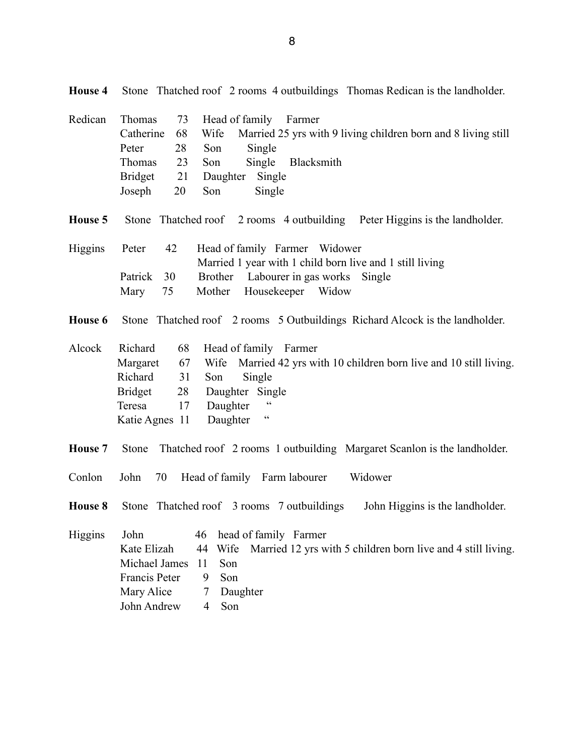| House 4 | Stone Thatched roof 2 rooms 4 outbuildings Thomas Redican is the landholder.                                                                                                                                                                                                                                   |
|---------|----------------------------------------------------------------------------------------------------------------------------------------------------------------------------------------------------------------------------------------------------------------------------------------------------------------|
| Redican | Thomas<br>73<br>Head of family<br>Farmer<br>Married 25 yrs with 9 living children born and 8 living still<br>Catherine<br>68<br>Wife<br>28<br>Son<br>Single<br>Peter<br>Thomas<br>23<br>Son<br>Single<br>Blacksmith<br><b>Bridget</b><br>21<br>Daughter Single<br>20<br>Joseph<br>Son<br>Single                |
| House 5 | Stone Thatched roof 2 rooms 4 outbuilding Peter Higgins is the landholder.                                                                                                                                                                                                                                     |
| Higgins | 42<br>Head of family Farmer Widower<br>Peter<br>Married 1 year with 1 child born live and 1 still living<br>Patrick<br>30<br>Brother Labourer in gas works Single<br>Housekeeper<br>Mother<br>Mary<br>75<br>Widow                                                                                              |
| House 6 | Stone Thatched roof 2 rooms 5 Outbuildings Richard Alcock is the landholder.                                                                                                                                                                                                                                   |
| Alcock  | Richard<br>68<br>Head of family Farmer<br>67<br>Wife<br>Married 42 yrs with 10 children born live and 10 still living.<br>Margaret<br>Richard<br>31<br>Single<br>Son<br><b>Bridget</b><br>28<br>Daughter Single<br>$\zeta$ $\zeta$<br>17<br>Daughter<br>Teresa<br>$\zeta\,\zeta$<br>Daughter<br>Katie Agnes 11 |
| House 7 | Stone Thatched roof 2 rooms 1 outbuilding Margaret Scanlon is the landholder.                                                                                                                                                                                                                                  |
| Conlon  | 70<br>Head of family Farm labourer<br>Widower<br>John                                                                                                                                                                                                                                                          |
| House 8 | Stone Thatched roof 3 rooms 7 outbuildings<br>John Higgins is the landholder.                                                                                                                                                                                                                                  |
| Higgins | John<br>head of family Farmer<br>46<br>Kate Elizah<br>44<br>Wife<br>Married 12 yrs with 5 children born live and 4 still living.<br>Son<br>Michael James<br>11<br>Francis Peter<br>Son<br>9<br>Daughter<br>Mary Alice<br>7<br>John Andrew<br>Son<br>4                                                          |

8